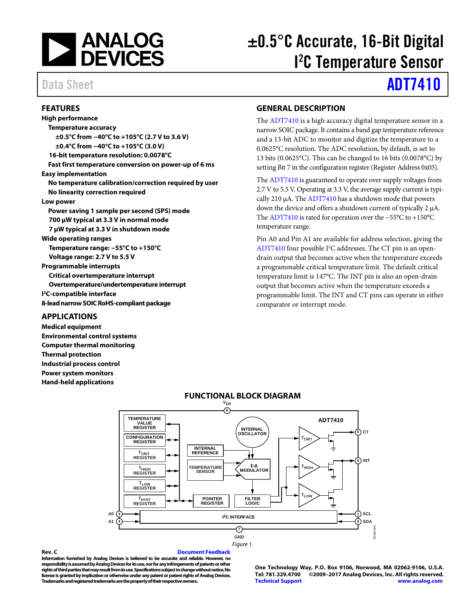

### <span id="page-0-0"></span>**FEATURES**

**High performance Temperature accuracy ±0.5°C from −40°C to +105°C (2.7 V to 3.6 V) ±0.4°C from −40°C to +105°C (3.0 V) 16-bit temperature resolution: 0.0078°C Fast first temperature conversion on power-up of 6 ms Easy implementation No temperature calibration/correction required by user No linearity correction required Low power Power saving 1 sample per second (SPS) mode 700 µW typical at 3.3 V in normal mode 7 µW typical at 3.3 V in shutdown mode Wide operating ranges Temperature range: −55°C to +150°C Voltage range: 2.7 V to 5.5 V Programmable interrupts Critical overtemperature interrupt Overtemperature/undertemperature interrupt I 2C-compatible interface 8-lead narrow SOICRoHS-compliant package**

### <span id="page-0-1"></span>**APPLICATIONS**

<span id="page-0-3"></span>**Medical equipment Environmental control systems Computer thermal monitoring Thermal protection Industrial process control Power system monitors Hand-held applications**

# ±0.5°C Accurate, 16-Bit Digital I 2 C Temperature Sensor

# Data Sheet **[ADT7410](http://www.analog.com/ADT7410?doc=ADT7410.pdf)**

### <span id="page-0-2"></span>**GENERAL DESCRIPTION**

The [ADT7410](http://www.analog.com/ADT7410?doc=ADT7410.pdf) is a high accuracy digital temperature sensor in a narrow SOIC package. It contains a band gap temperature reference and a 13-bit ADC to monitor and digitize the temperature to a 0.0625°C resolution. The ADC resolution, by default, is set to 13 bits (0.0625°C). This can be changed to 16 bits (0.0078°C) by setting Bit 7 in the configuration register (Register Address 0x03).

Th[e ADT7410](http://www.analog.com/ADT7410?doc=ADT7410.pdf) is guaranteed to operate over supply voltages from 2.7 V to 5.5 V. Operating at 3.3 V, the average supply current is typically 210 μA. The  $ADT7410$  has a shutdown mode that powers down the device and offers a shutdown current of typically 2 μA. Th[e ADT7410](http://www.analog.com/ADT7410?doc=ADT7410.pdf) is rated for operation over the −55°C to +150°C temperature range.

Pin A0 and Pin A1 are available for address selection, giving the [ADT7410](http://www.analog.com/ADT7410?doc=ADT7410.pdf) four possible I 2 C addresses. The CT pin is an opendrain output that becomes active when the temperature exceeds a programmable critical temperature limit. The default critical temperature limit is 147°C. The INT pin is also an open-drain output that becomes active when the temperature exceeds a programmable limit. The INT and CT pins can operate in either comparator or interrupt mode.



### **FUNCTIONAL BLOCK DIAGRAM**

### **Rev. C [Document Feedback](https://form.analog.com/Form_Pages/feedback/documentfeedback.aspx?doc=ADT7410.pdf&product=ADT7410&rev=C)**

**Information furnished by Analog Devices is believed to be accurate and reliable. However, no responsibility is assumed by Analog Devices for its use, nor for any infringements of patents or other rights of third parties that may result from its use. Specifications subject to change without notice. No license is granted by implication or otherwise under any patent or patent rights of Analog Devices. Trademarks and registered trademarks are the property of their respective owners.**

**One Technology Way, P.O. Box 9106, Norwood, MA 02062-9106, U.S.A. Tel: 781.329.4700 ©2009–2017 Analog Devices, Inc. All rights reserved. [Technical Support](http://www.analog.com/en/content/technical_support_page/fca.html) [www.analog.com](http://www.analog.com/)**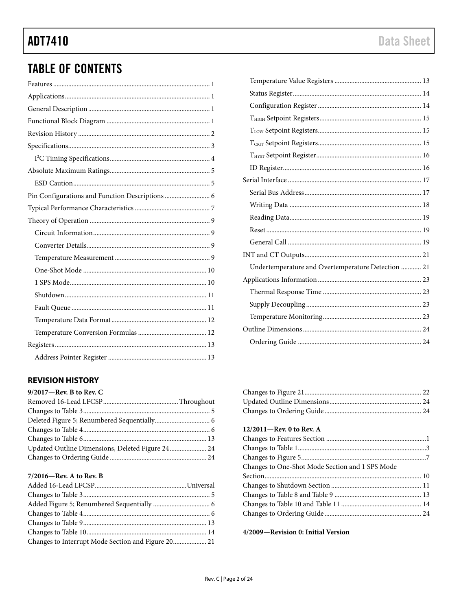# **TABLE OF CONTENTS**

| Pin Configurations and Function Descriptions  6 |
|-------------------------------------------------|
|                                                 |
|                                                 |
|                                                 |
|                                                 |
|                                                 |
|                                                 |
|                                                 |
|                                                 |
|                                                 |
|                                                 |
|                                                 |
|                                                 |
|                                                 |

### <span id="page-1-0"></span>**REVISION HISTORY**

| $9/2017$ —Rev. B to Rev. C                       |  |
|--------------------------------------------------|--|
|                                                  |  |
|                                                  |  |
|                                                  |  |
|                                                  |  |
|                                                  |  |
| Updated Outline Dimensions, Deleted Figure 24 24 |  |
|                                                  |  |
|                                                  |  |

### 7/2016-Rev. A to Rev. B

| Changes to Interrupt Mode Section and Figure 20 21 |  |
|----------------------------------------------------|--|
|                                                    |  |

| Undertemperature and Overtemperature Detection  21 |
|----------------------------------------------------|
|                                                    |
|                                                    |
|                                                    |
|                                                    |
|                                                    |
|                                                    |

### 12/2011-Rev. 0 to Rev. A

| Changes to One-Shot Mode Section and 1 SPS Mode |  |
|-------------------------------------------------|--|
|                                                 |  |
|                                                 |  |
|                                                 |  |
|                                                 |  |
|                                                 |  |
|                                                 |  |

4/2009-Revision 0: Initial Version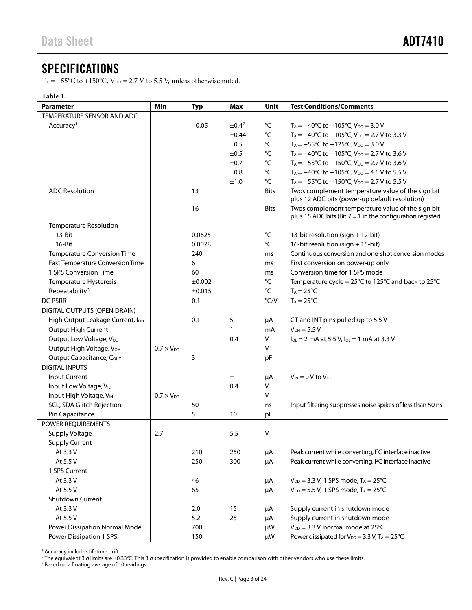## <span id="page-2-0"></span>SPECIFICATIONS

T<sub>A</sub> = −55°C to +150°C, V<sub>DD</sub> = 2.7 V to 5.5 V, unless otherwise noted.

### **Table 1.**

| Parameter                                    | Min                 | <b>Typ</b> | <b>Max</b>  | Unit              | <b>Test Conditions/Comments</b>                                                                                   |
|----------------------------------------------|---------------------|------------|-------------|-------------------|-------------------------------------------------------------------------------------------------------------------|
| TEMPERATURE SENSOR AND ADC                   |                     |            |             |                   |                                                                                                                   |
| Accuracy <sup>1</sup>                        |                     | $-0.05$    | $\pm 0.4^2$ | °C                | $T_A = -40^{\circ}C$ to $+105^{\circ}C$ , $V_{DD} = 3.0 V$                                                        |
|                                              |                     |            | $\pm 0.44$  | °C                | T <sub>A</sub> = $-40^{\circ}$ C to +105 $^{\circ}$ C, V <sub>DD</sub> = 2.7 V to 3.3 V                           |
|                                              |                     |            | ±0.5        | °C                | $T_A = -55^{\circ}$ C to +125 $^{\circ}$ C, V <sub>DD</sub> = 3.0 V                                               |
|                                              |                     |            | ±0.5        | $^{\circ}$ C      | $T_A = -40^{\circ}$ C to +105 $^{\circ}$ C, V <sub>DD</sub> = 2.7 V to 3.6 V                                      |
|                                              |                     |            | ±0.7        | °C                | $T_A = -55^{\circ}$ C to +150 $^{\circ}$ C, V <sub>DD</sub> = 2.7 V to 3.6 V                                      |
|                                              |                     |            | $\pm 0.8$   | °C                | $T_A = -40^{\circ}$ C to +105 $^{\circ}$ C, V <sub>DD</sub> = 4.5 V to 5.5 V                                      |
|                                              |                     |            | ±1.0        | °C                | $T_A = -55^{\circ}$ C to +150 $^{\circ}$ C, V <sub>DD</sub> = 2.7 V to 5.5 V                                      |
| <b>ADC Resolution</b>                        |                     | 13         |             | Bits              | Twos complement temperature value of the sign bit<br>plus 12 ADC bits (power-up default resolution)               |
|                                              |                     | 16         |             | <b>Bits</b>       | Twos complement temperature value of the sign bit<br>plus 15 ADC bits (Bit $7 = 1$ in the configuration register) |
| <b>Temperature Resolution</b>                |                     |            |             |                   |                                                                                                                   |
| $13-Hit$                                     |                     | 0.0625     |             | $^{\circ}{\sf C}$ | 13-bit resolution (sign + 12-bit)                                                                                 |
| 16-Bit                                       |                     | 0.0078     |             | °C                | 16-bit resolution (sign + 15-bit)                                                                                 |
| <b>Temperature Conversion Time</b>           |                     | 240        |             | ms                | Continuous conversion and one-shot conversion modes                                                               |
| <b>Fast Temperature Conversion Time</b>      |                     | 6          |             | ms                | First conversion on power-up only                                                                                 |
| 1 SPS Conversion Time                        |                     | 60         |             | ms                | Conversion time for 1 SPS mode                                                                                    |
| Temperature Hysteresis                       |                     | ±0.002     |             | °C                | Temperature cycle = 25°C to 125°C and back to 25°C                                                                |
| Repeatability <sup>3</sup>                   |                     | ±0.015     |             | $^{\circ}{\sf C}$ | $T_A = 25^{\circ}C$                                                                                               |
| DC PSRR                                      |                     | 0.1        |             | $\degree$ C/V     | $T_A = 25^{\circ}C$                                                                                               |
| DIGITAL OUTPUTS (OPEN DRAIN)                 |                     |            |             |                   |                                                                                                                   |
| High Output Leakage Current, I <sub>OH</sub> |                     | 0.1        | 5           | μA                | CT and INT pins pulled up to 5.5 V                                                                                |
| Output High Current                          |                     |            | 1           | mA                | $V_{OH} = 5.5 V$                                                                                                  |
| Output Low Voltage, V <sub>OL</sub>          |                     |            | 0.4         | V                 | $I_{OL}$ = 2 mA at 5.5 V, $I_{OL}$ = 1 mA at 3.3 V                                                                |
| Output High Voltage, VOH                     | $0.7 \times V_{DD}$ |            |             | v                 |                                                                                                                   |
| Output Capacitance, COUT                     |                     | 3          |             | pF                |                                                                                                                   |
| <b>DIGITAL INPUTS</b>                        |                     |            |             |                   |                                                                                                                   |
| Input Current                                |                     |            | ±1          | μA                | $V_{IN} = 0 V$ to $V_{DD}$                                                                                        |
| Input Low Voltage, VIL                       |                     |            | 0.4         | V                 |                                                                                                                   |
| Input High Voltage, VIH                      | $0.7 \times V_{DD}$ |            |             | V                 |                                                                                                                   |
| SCL, SDA Glitch Rejection                    |                     | 50         |             | ns                | Input filtering suppresses noise spikes of less than 50 ns                                                        |
| Pin Capacitance                              |                     | 5          | 10          | pF                |                                                                                                                   |
| POWER REQUIREMENTS                           |                     |            |             |                   |                                                                                                                   |
| <b>Supply Voltage</b>                        | 2.7                 |            | 5.5         | V                 |                                                                                                                   |
| <b>Supply Current</b>                        |                     |            |             |                   |                                                                                                                   |
| At 3.3 V                                     |                     | 210        | 250         | μA                | Peak current while converting, I <sup>2</sup> C interface inactive                                                |
| At 5.5 V                                     |                     | 250        | 300         | μA                | Peak current while converting, I <sup>2</sup> C interface inactive                                                |
| 1 SPS Current                                |                     |            |             |                   |                                                                                                                   |
| At 3.3 V                                     |                     | 46         |             | μA                | $V_{DD} = 3.3 V$ , 1 SPS mode, $T_A = 25^{\circ}C$                                                                |
| At 5.5 V                                     |                     | 65         |             | μA                | $V_{DD} = 5.5 V$ , 1 SPS mode, T <sub>A</sub> = 25°C                                                              |
| Shutdown Current                             |                     |            |             |                   |                                                                                                                   |
| At 3.3 V                                     |                     | 2.0        | 15          | μA                | Supply current in shutdown mode                                                                                   |
| At 5.5 V                                     |                     | 5.2        | 25          | μA                | Supply current in shutdown mode                                                                                   |
| Power Dissipation Normal Mode                |                     | 700        |             | μW                | $V_{DD}$ = 3.3 V, normal mode at 25°C                                                                             |
| Power Dissipation 1 SPS                      |                     | 150        |             | μW                | Power dissipated for $V_{DD} = 3.3$ V, $T_A = 25^{\circ}C$                                                        |

<sup>1</sup> Accuracy includes lifetime drift.

 $^2$  The equivalent 3 σ limits are ±0.33°C. This 3 σ specification is provided to enable comparison with other vendors who use these limits.

<sup>3</sup> Based on a floating average of 10 readings.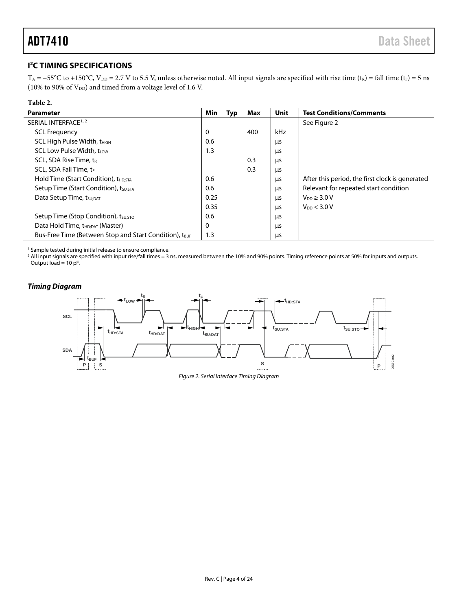j. j.

### <span id="page-3-0"></span>**I 2 C TIMING SPECIFICATIONS**

T<sub>A</sub> = −55°C to +150°C, V<sub>DD</sub> = 2.7 V to 5.5 V, unless otherwise noted. All input signals are specified with rise time (t<sub>R</sub>) = fall time (t<sub>F</sub>) = 5 ns (10% to 90% of  $V_{DD}$ ) and timed from a voltage level of 1.6 V.

| Table 2.                                                           |      |     |     |      |                                                 |
|--------------------------------------------------------------------|------|-----|-----|------|-------------------------------------------------|
| <b>Parameter</b>                                                   | Min  | Typ | Max | Unit | <b>Test Conditions/Comments</b>                 |
| SERIAL INTERFACE <sup>1, 2</sup>                                   |      |     |     |      | See Figure 2                                    |
| <b>SCL Frequency</b>                                               | 0    |     | 400 | kHz  |                                                 |
| SCL High Pulse Width, t <sub>HIGH</sub>                            | 0.6  |     |     | μs   |                                                 |
| <b>SCL Low Pulse Width, tiow</b>                                   | 1.3  |     |     | μs   |                                                 |
| SCL, SDA Rise Time, t <sub>R</sub>                                 |      |     | 0.3 | μs   |                                                 |
| SCL, SDA Fall Time, tr                                             |      |     | 0.3 | μs   |                                                 |
| Hold Time (Start Condition), t <sub>HD:STA</sub>                   | 0.6  |     |     | μs   | After this period, the first clock is generated |
| Setup Time (Start Condition), t <sub>SU;STA</sub>                  | 0.6  |     |     | μs   | Relevant for repeated start condition           |
| Data Setup Time, tsu; DAT                                          | 0.25 |     |     | μs   | $V_{DD} \geq 3.0 V$                             |
|                                                                    | 0.35 |     |     | μs   | $V_{DD}$ < 3.0 V                                |
| Setup Time (Stop Condition), tsu;sto                               | 0.6  |     |     | μs   |                                                 |
| Data Hold Time, t <sub>HD;DAT</sub> (Master)                       | 0    |     |     | μs   |                                                 |
| Bus-Free Time (Between Stop and Start Condition), t <sub>BUF</sub> | 1.3  |     |     | μs   |                                                 |

<sup>1</sup> Sample tested during initial release to ensure compliance.

<sup>2</sup> All input signals are specified with input rise/fall times = 3 ns, measured between the 10% and 90% points. Timing reference points at 50% for inputs and outputs. Output load = 10 pF.

### *Timing Diagram*

<span id="page-3-1"></span>

*Figure 2. Serial Interface Timing Diagram*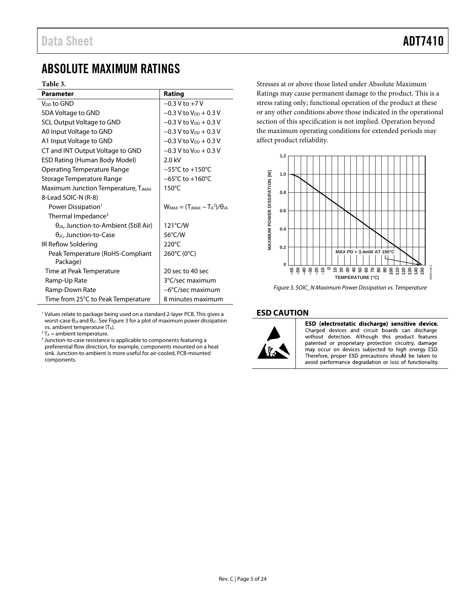# <span id="page-4-0"></span>ABSOLUTE MAXIMUM RATINGS

### **Table 3.**

| <b>Parameter</b>                                     | Rating                                    |  |
|------------------------------------------------------|-------------------------------------------|--|
| V <sub>DD</sub> to GND                               | $-0.3$ V to $+7$ V                        |  |
| SDA Voltage to GND                                   | $-0.3$ V to $V_{DD}$ + 0.3 V              |  |
| <b>SCL Output Voltage to GND</b>                     | $-0.3$ V to $V_{DD}$ + 0.3 V              |  |
| A0 Input Voltage to GND                              | $-0.3$ V to V <sub>DD</sub> + 0.3 V       |  |
| A1 Input Voltage to GND                              | $-0.3$ V to V <sub>DD</sub> + 0.3 V       |  |
| CT and INT Output Voltage to GND                     | $-0.3$ V to V <sub>DD</sub> + 0.3 V       |  |
| <b>ESD Rating (Human Body Model)</b>                 | $2.0$ kV                                  |  |
| Operating Temperature Range                          | $-55^{\circ}$ C to $+150^{\circ}$ C       |  |
| Storage Temperature Range                            | $-65^{\circ}$ C to $+160^{\circ}$ C       |  |
| Maximum Junction Temperature, T <sub>JMAX</sub>      | $150^{\circ}$ C                           |  |
| 8-Lead SOIC-N (R-8)                                  |                                           |  |
| Power Dissipation <sup>1</sup>                       | $W_{MAX} = (T_{MAX} - T_A^2)/\theta_{IA}$ |  |
| Thermal Impedance <sup>3</sup>                       |                                           |  |
| $\theta$ امر $\mu$ , Junction-to-Ambient (Still Air) | 121°C/W                                   |  |
| $\theta$ <sub>JC</sub> , Junction-to-Case            | 56°C/W                                    |  |
| IR Reflow Soldering                                  | $220^{\circ}$ C                           |  |
| Peak Temperature (RoHS-Compliant<br>Package)         | 260°C (0°C)                               |  |
| Time at Peak Temperature                             | 20 sec to 40 sec                          |  |
| Ramp-Up Rate                                         | 3°C/sec maximum                           |  |
| Ramp-Down Rate                                       | -6°C/sec maximum                          |  |
| Time from 25°C to Peak Temperature                   | 8 minutes maximum                         |  |

<sup>1</sup> Values relate to package being used on a standard 2-layer PCB. This gives a worst-case  $θ_{JA}$  and  $θ_{JC}$ . Se[e Figure 3](#page-4-2) for a plot of maximum power dissipation vs. ambient temperature  $(T_A)$ .

 $2 T_A$  = ambient temperature.

<sup>3</sup> Junction-to-case resistance is applicable to components featuring a preferential flow direction, for example, components mounted on a heat sink. Junction-to-ambient is more useful for air-cooled, PCB-mounted components.

Stresses at or above those listed under Absolute Maximum Ratings may cause permanent damage to the product. This is a stress rating only; functional operation of the product at these or any other conditions above those indicated in the operational section of this specification is not implied. Operation beyond the maximum operating conditions for extended periods may affect product reliability.



<span id="page-4-2"></span>*Figure 3. SOIC\_N Maximum Power Dissipation vs. Temperature*

### <span id="page-4-1"></span>**ESD CAUTION**



ESD (electrostatic discharge) sensitive device. Charged devices and circuit boards can discharge without detection. Although this product features patented or proprietary protection circuitry, damage may occur on devices subjected to high energy ESD. Therefore, proper ESD precautions should be taken to avoid performance degradation or loss of functionality.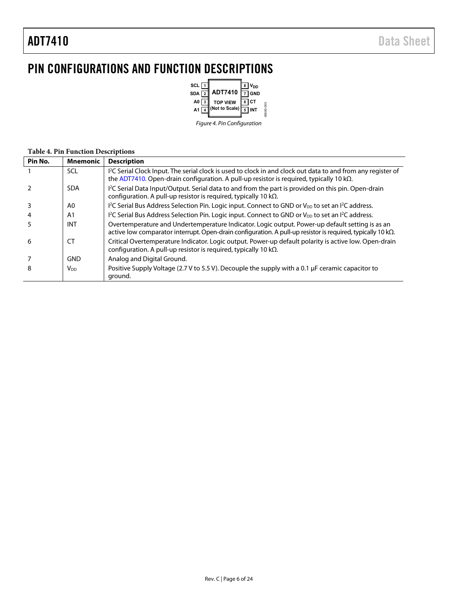# <span id="page-5-0"></span>PIN CONFIGURATIONS AND FUNCTION DESCRIPTIONS



### **Table 4. Pin Function Descriptions**

| Pin No. | <b>Mnemonic</b>        | <b>Description</b>                                                                                                                                                                                                  |
|---------|------------------------|---------------------------------------------------------------------------------------------------------------------------------------------------------------------------------------------------------------------|
|         | <b>SCL</b>             | I <sup>2</sup> C Serial Clock Input. The serial clock is used to clock in and clock out data to and from any register of<br>the ADT7410. Open-drain configuration. A pull-up resistor is required, typically 10 kΩ. |
|         | <b>SDA</b>             | I <sup>2</sup> C Serial Data Input/Output. Serial data to and from the part is provided on this pin. Open-drain<br>configuration. A pull-up resistor is required, typically 10 k $\Omega$ .                         |
|         | A0                     | I <sup>2</sup> C Serial Bus Address Selection Pin. Logic input. Connect to GND or V <sub>DD</sub> to set an I <sup>2</sup> C address.                                                                               |
|         | A <sub>1</sub>         | I <sup>2</sup> C Serial Bus Address Selection Pin. Logic input. Connect to GND or V <sub>DD</sub> to set an I <sup>2</sup> C address.                                                                               |
|         | INT                    | Overtemperature and Undertemperature Indicator. Logic output. Power-up default setting is as an<br>active low comparator interrupt. Open-drain configuration. A pull-up resistor is required, typically 10 kΩ.      |
| 6       | <b>CT</b>              | Critical Overtemperature Indicator. Logic output. Power-up default polarity is active low. Open-drain<br>configuration. A pull-up resistor is required, typically 10 k $\Omega$ .                                   |
|         | <b>GND</b>             | Analog and Digital Ground.                                                                                                                                                                                          |
| 8       | <b>V</b> <sub>DD</sub> | Positive Supply Voltage (2.7 V to 5.5 V). Decouple the supply with a 0.1 µF ceramic capacitor to<br>ground.                                                                                                         |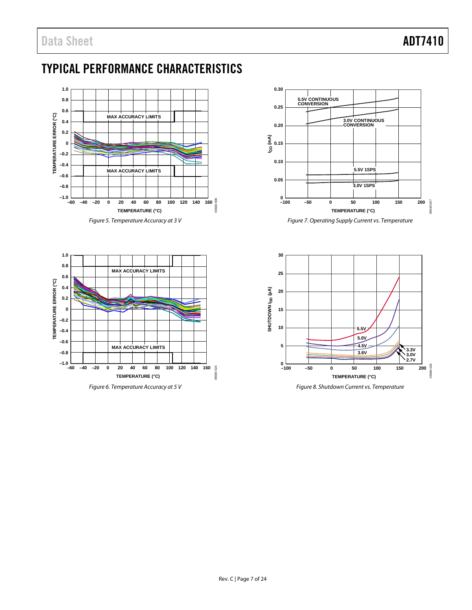# <span id="page-6-0"></span>TYPICAL PERFORMANCE CHARACTERISTICS



*Figure 5. Temperature Accuracy at 3 V*





*Figure 7. Operating Supply Current vs. Temperature*

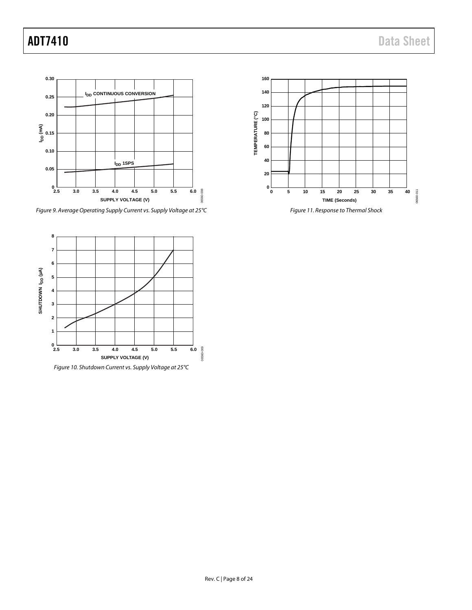

*Figure 9. Average Operating Supply Current vs. Supply Voltage at 25°C*



*Figure 10. Shutdown Current vs. Supply Voltage at 25°C*

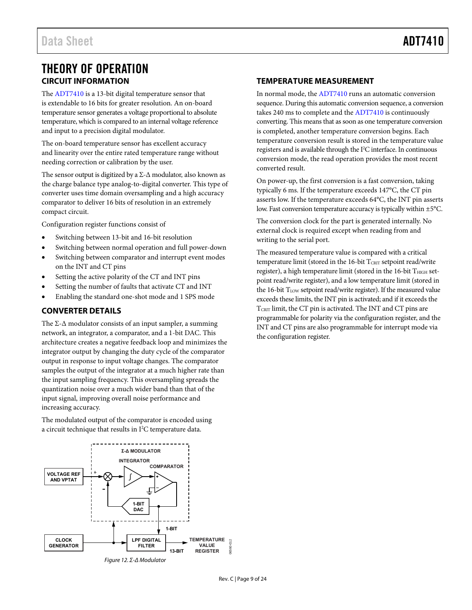## <span id="page-8-0"></span>THEORY OF OPERATION **CIRCUIT INFORMATION**

<span id="page-8-1"></span>The [ADT7410 i](http://www.analog.com/ADT7410?doc=ADT7410.pdf)s a 13-bit digital temperature sensor that is extendable to 16 bits for greater resolution. An on-board temperature sensor generates a voltage proportional to absolute temperature, which is compared to an internal voltage reference and input to a precision digital modulator.

The on-board temperature sensor has excellent accuracy and linearity over the entire rated temperature range without needing correction or calibration by the user.

The sensor output is digitized by a  $\Sigma$ - $\Delta$  modulator, also known as the charge balance type analog-to-digital converter. This type of converter uses time domain oversampling and a high accuracy comparator to deliver 16 bits of resolution in an extremely compact circuit.

Configuration register functions consist of

- Switching between 13-bit and 16-bit resolution
- Switching between normal operation and full power-down
- Switching between comparator and interrupt event modes on the INT and CT pins
- Setting the active polarity of the CT and INT pins
- Setting the number of faults that activate CT and INT
- Enabling the standard one-shot mode and 1 SPS mode

### <span id="page-8-2"></span>**CONVERTER DETAILS**

The  $\Sigma$ - $\Delta$  modulator consists of an input sampler, a summing network, an integrator, a comparator, and a 1-bit DAC. This architecture creates a negative feedback loop and minimizes the integrator output by changing the duty cycle of the comparator output in response to input voltage changes. The comparator samples the output of the integrator at a much higher rate than the input sampling frequency. This oversampling spreads the quantization noise over a much wider band than that of the input signal, improving overall noise performance and increasing accuracy.

The modulated output of the comparator is encoded using a circuit technique that results in  $I^2C$  temperature data.



Figure 12. Σ-Δ Modulator

### <span id="page-8-3"></span>**TEMPERATURE MEASUREMENT**

In normal mode, th[e ADT7410 r](http://www.analog.com/ADT7410?doc=ADT7410.pdf)uns an automatic conversion sequence. During this automatic conversion sequence, a conversion takes 240 ms to complete and the [ADT7410 i](http://www.analog.com/ADT7410?doc=ADT7410.pdf)s continuously converting. This means that as soon as one temperature conversion is completed, another temperature conversion begins. Each temperature conversion result is stored in the temperature value registers and is available through the  $I^2C$  interface. In continuous conversion mode, the read operation provides the most recent converted result.

On power-up, the first conversion is a fast conversion, taking typically 6 ms. If the temperature exceeds 147°C, the CT pin asserts low. If the temperature exceeds 64°C, the INT pin asserts low. Fast conversion temperature accuracy is typically within ±5°C.

The conversion clock for the part is generated internally. No external clock is required except when reading from and writing to the serial port.

The measured temperature value is compared with a critical temperature limit (stored in the 16-bit  $T_{\text{CRIT}}$  setpoint read/write register), a high temperature limit (stored in the 16-bit THIGH setpoint read/write register), and a low temperature limit (stored in the 16-bit  $T_{LOW}$  setpoint read/write register). If the measured value exceeds these limits, the INT pin is activated; and if it exceeds the TCRIT limit, the CT pin is activated. The INT and CT pins are programmable for polarity via the configuration register, and the INT and CT pins are also programmable for interrupt mode via the configuration register.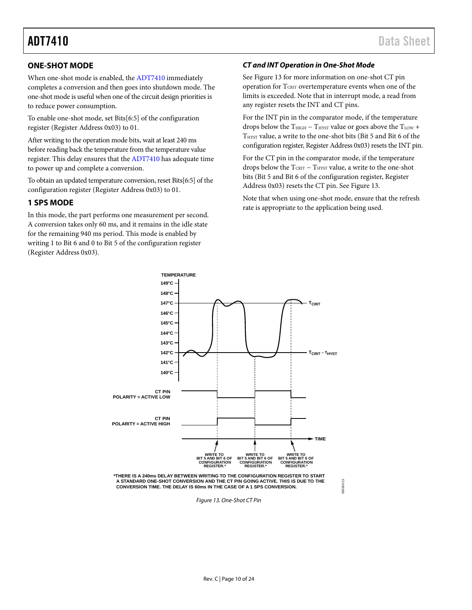### <span id="page-9-0"></span>**ONE-SHOT MODE**

When one-shot mode is enabled, the [ADT7410](http://www.analog.com/ADT7410?doc=ADT7410.pdf) immediately completes a conversion and then goes into shutdown mode. The one-shot mode is useful when one of the circuit design priorities is to reduce power consumption.

To enable one-shot mode, set Bits[6:5] of the configuration register (Register Address 0x03) to 01.

After writing to the operation mode bits, wait at least 240 ms before reading back the temperature from the temperature value register. This delay ensures that the [ADT7410](http://www.analog.com/ADT7410?doc=ADT7410.pdf) has adequate time to power up and complete a conversion.

To obtain an updated temperature conversion, reset Bits[6:5] of the configuration register (Register Address 0x03) to 01.

### <span id="page-9-1"></span>**1 SPS MODE**

In this mode, the part performs one measurement per second. A conversion takes only 60 ms, and it remains in the idle state for the remaining 940 ms period. This mode is enabled by writing 1 to Bit 6 and 0 to Bit 5 of the configuration register (Register Address 0x03).

### *CT and INT Operation in One-Shot Mode*

See [Figure 13](#page-9-2) for more information on one-shot CT pin operation for TCRIT overtemperature events when one of the limits is exceeded. Note that in interrupt mode, a read from any register resets the INT and CT pins.

For the INT pin in the comparator mode, if the temperature drops below the  $T<sub>HIGH</sub> - T<sub>HYST</sub>$  value or goes above the  $T<sub>LOW</sub>$  + THYST value, a write to the one-shot bits (Bit 5 and Bit 6 of the configuration register, Register Address 0x03) resets the INT pin.

For the CT pin in the comparator mode, if the temperature drops below the  $T_{\text{CRIT}}$  –  $T_{\text{HYST}}$  value, a write to the one-shot bits (Bit 5 and Bit 6 of the configuration register, Register Address 0x03) resets the CT pin. Se[e Figure 13.](#page-9-2)

Note that when using one-shot mode, ensure that the refresh rate is appropriate to the application being used.

06560-013

6560-013



**TEMPERATURE**

<span id="page-9-2"></span>**\*THERE IS A 240ms DELAY BETWEEN WRITING TO THE CONFIGURATION REGISTER TO START A STANDARD ONE-SHOT CONVERSION AND THE CT PIN GOING ACTIVE. THIS IS DUE TO THE CONVERSION TIME. THE DELAY IS 60ms IN THE CASE OF A 1 SPS CONVERSION.**

*Figure 13. One-Shot CT Pin*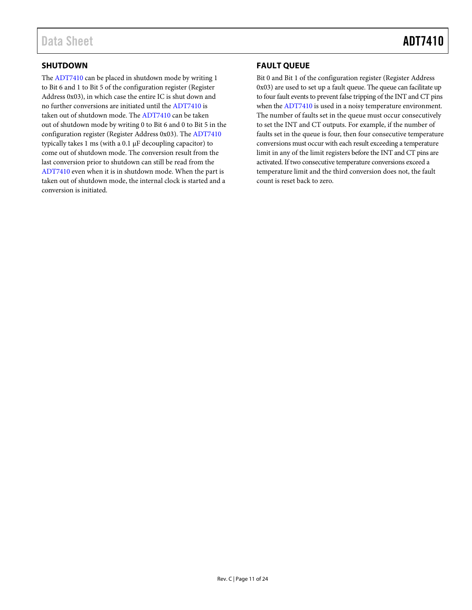### <span id="page-10-0"></span>**SHUTDOWN**

The [ADT7410](http://www.analog.com/ADT7410?doc=ADT7410.pdf) can be placed in shutdown mode by writing 1 to Bit 6 and 1 to Bit 5 of the configuration register (Register Address 0x03), in which case the entire IC is shut down and no further conversions are initiated until th[e ADT7410](http://www.analog.com/ADT7410?doc=ADT7410.pdf) is taken out of shutdown mode. Th[e ADT7410](http://www.analog.com/ADT7410?doc=ADT7410.pdf) can be taken out of shutdown mode by writing 0 to Bit 6 and 0 to Bit 5 in the configuration register (Register Address 0x03). Th[e ADT7410](http://www.analog.com/ADT7410?doc=ADT7410.pdf) typically takes 1 ms (with a 0.1 µF decoupling capacitor) to come out of shutdown mode. The conversion result from the last conversion prior to shutdown can still be read from the [ADT7410](http://www.analog.com/ADT7410?doc=ADT7410.pdf) even when it is in shutdown mode. When the part is taken out of shutdown mode, the internal clock is started and a conversion is initiated.

### <span id="page-10-1"></span>**FAULT QUEUE**

Bit 0 and Bit 1 of the configuration register (Register Address 0x03) are used to set up a fault queue. The queue can facilitate up to four fault events to prevent false tripping of the INT and CT pins when the [ADT7410](http://www.analog.com/ADT7410?doc=ADT7410.pdf) is used in a noisy temperature environment. The number of faults set in the queue must occur consecutively to set the INT and CT outputs. For example, if the number of faults set in the queue is four, then four consecutive temperature conversions must occur with each result exceeding a temperature limit in any of the limit registers before the INT and CT pins are activated. If two consecutive temperature conversions exceed a temperature limit and the third conversion does not, the fault count is reset back to zero.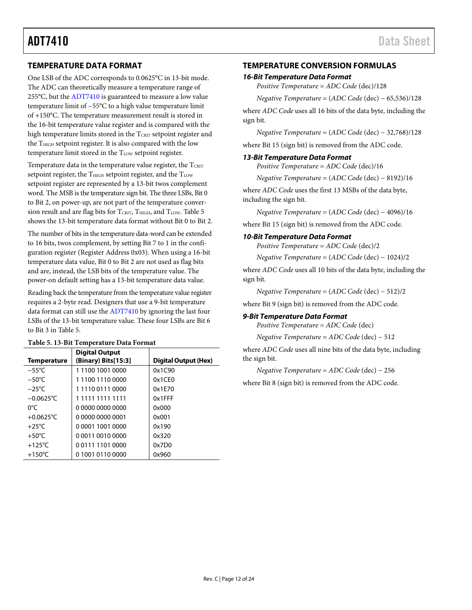### <span id="page-11-0"></span>**TEMPERATURE DATA FORMAT**

One LSB of the ADC corresponds to 0.0625°C in 13-bit mode. The ADC can theoretically measure a temperature range of 255°C, but th[e ADT7410](http://www.analog.com/ADT7410?doc=ADT7410.pdf) is guaranteed to measure a low value temperature limit of −55°C to a high value temperature limit of +150°C. The temperature measurement result is stored in the 16-bit temperature value register and is compared with the high temperature limits stored in the  $T_{CRT}$  setpoint register and the  $T<sub>HIGH</sub>$  setpoint register. It is also compared with the low temperature limit stored in the  $T_{LOW}$  setpoint register.

Temperature data in the temperature value register, the TCRIT setpoint register, the  $T<sub>HIGH</sub>$  setpoint register, and the  $T<sub>LOW</sub>$ setpoint register are represented by a 13-bit twos complement word. The MSB is the temperature sign bit. The three LSBs, Bit 0 to Bit 2, on power-up, are not part of the temperature conver-sion result and are flag bits for TCRIT, THIGH, and TLOW. [Table 5](#page-11-2) shows the 13-bit temperature data format without Bit 0 to Bit 2.

The number of bits in the temperature data-word can be extended to 16 bits, twos complement, by setting Bit 7 to 1 in the configuration register (Register Address 0x03). When using a 16-bit temperature data value, Bit 0 to Bit 2 are not used as flag bits and are, instead, the LSB bits of the temperature value. The power-on default setting has a 13-bit temperature data value.

Reading back the temperature from the temperature value register requires a 2-byte read. Designers that use a 9-bit temperature data format can still use th[e ADT7410](http://www.analog.com/ADT7410?doc=ADT7410.pdf) by ignoring the last four LSBs of the 13-bit temperature value. These four LSBs are Bit 6 to Bit 3 i[n Table 5.](#page-11-2)

### <span id="page-11-2"></span>**Table 5. 13-Bit Temperature Data Format**

| <b>Temperature</b> | <b>Digital Output</b><br>(Binary) Bits[15:3] | Digital Output (Hex) |
|--------------------|----------------------------------------------|----------------------|
| $-55^{\circ}$ C    | 1 1100 1001 0000                             | 0x1C90               |
| $-50^{\circ}$ C    | 1 1100 1110 0000                             | 0x1CE0               |
| $-25^{\circ}$ C    | 1 1110 0111 0000                             | 0x1F70               |
| $-0.0625$ °C       | 1 1111 1111 1111                             | $0x1$ FFF            |
| 0°C                | 0 0000 0000 0000                             | 0x000                |
| $+0.0625$ °C       | 0 0000 0000 0001                             | 0x001                |
| $+25^{\circ}$ C    | 0 0001 1001 0000                             | 0x190                |
| $+50^{\circ}$ C    | 0 0011 0010 0000                             | 0x320                |
| $+125^{\circ}$ C   | 0.0111.1101.0000                             | 0x7D0                |
| $+150^{\circ}$ C   | 0 1001 0110 0000                             | 0x960                |

### <span id="page-11-1"></span>**TEMPERATURE CONVERSION FORMULAS**

### *16-Bit Temperature Data Format*

*Positive Temperature* = *ADC Code* (dec)/128

*Negative Temperature* = (*ADC Code* (dec) − 65,536)/128

where *ADC Code* uses all 16 bits of the data byte, including the sign bit.

*Negative Temperature* = (*ADC Code* (dec) − 32,768)/128

where Bit 15 (sign bit) is removed from the ADC code.

### *13-Bit Temperature Data Format*

*Positive Temperature* = *ADC Code* (dec)/16

*Negative Temperature* = (*ADC Code* (dec) − 8192)/16

where *ADC Code* uses the first 13 MSBs of the data byte, including the sign bit.

*Negative Temperature* = (*ADC Code* (dec) − 4096)/16

where Bit 15 (sign bit) is removed from the ADC code.

### *10-Bit Temperature Data Format*

*Positive Temperature* = *ADC Code* (dec)/2

*Negative Temperature* = (*ADC Code* (dec) − 1024)/2

where *ADC Code* uses all 10 bits of the data byte, including the sign bit.

*Negative Temperature* = (*ADC Code* (dec) − 512)/2

where Bit 9 (sign bit) is removed from the ADC code.

### *9-Bit Temperature Data Format*

*Positive Temperature* = *ADC Code* (dec)

*Negative Temperature* = *ADC Code* (dec) − 512

where *ADC Code* uses all nine bits of the data byte, including the sign bit.

*Negative Temperature* = *ADC Code* (dec) − 256

where Bit 8 (sign bit) is removed from the ADC code.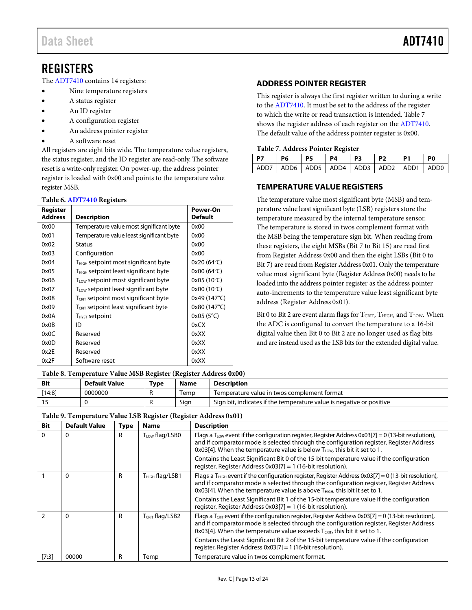# <span id="page-12-0"></span>**REGISTERS**

The [ADT7410](http://www.analog.com/ADT7410?doc=ADT7410.pdf) contains 14 registers:

- Nine temperature registers
- A status register
- An ID register
- A configuration register
- An address pointer register
- A software reset

All registers are eight bits wide. The temperature value registers, the status register, and the ID register are read-only. The software reset is a write-only register. On power-up, the address pointer register is loaded with 0x00 and points to the temperature value register MSB.

### **Table 6[. ADT7410](http://www.analog.com/ADT7410?doc=ADT7410.pdf) Registers**

| Register<br><b>Address</b> | <b>Description</b>                                     | Power-On<br><b>Default</b> |
|----------------------------|--------------------------------------------------------|----------------------------|
| 0x00                       | Temperature value most significant byte                | 0x00                       |
| 0x01                       | Temperature value least significant byte               | 0x00                       |
| 0x02                       | Status                                                 | 0x00                       |
| 0x03                       | Configuration                                          | 0x00                       |
| 0x04                       | T <sub>HIGH</sub> setpoint most significant byte       | 0x20 (64°C)                |
| 0x05                       | T <sub>HIGH</sub> setpoint least significant byte      | 0x00 (64°C)                |
| 0x06                       | $T_{\text{\tiny{LOW}}}$ setpoint most significant byte | 0x05 (10°C)                |
| 0x07                       | T <sub>LOW</sub> setpoint least significant byte       | $0x00(10^{\circ}C)$        |
| 0x08                       | T <sub>CRIT</sub> setpoint most significant byte       | 0x49 (147°C)               |
| 0x09                       | T <sub>CRIT</sub> setpoint least significant byte      | 0x80 (147°C)               |
| 0x0A                       | T <sub>HYST</sub> setpoint                             | $0x05(5^{\circ}C)$         |
| 0x0B                       | ID                                                     | 0xCX                       |
| 0x0C                       | Reserved                                               | 0xXX                       |
| 0x0D                       | Reserved                                               | 0xXX                       |
| 0x2E                       | Reserved                                               | 0xXX                       |
| 0x2F                       | Software reset                                         | 0xXX                       |

### **Table 8. Temperature Value MSB Register (Register Address 0x00)**

| Bit    | <b>Default Value</b> | Type | <b>Name</b> | Description                                                          |
|--------|----------------------|------|-------------|----------------------------------------------------------------------|
| [14:8] | 0000000              |      | lemp        | Temperature value in twos complement format                          |
|        |                      |      | Sian        | Sign bit, indicates if the temperature value is negative or positive |

| <b>Bit</b> | <b>Default Value</b> | Type | <b>Name</b>          | <b>Description</b>                                                                                                                                                                                                                                                                                     |
|------------|----------------------|------|----------------------|--------------------------------------------------------------------------------------------------------------------------------------------------------------------------------------------------------------------------------------------------------------------------------------------------------|
| $\Omega$   | 0                    | R    | $T_{LOW}$ flag/LSB0  | Flags a T <sub>LOW</sub> event if the configuration register, Register Address 0x03[7] = 0 (13-bit resolution),<br>and if comparator mode is selected through the configuration register, Register Address<br>$0x03[4]$ . When the temperature value is below $T_{LOW}$ , this bit it set to 1.        |
|            |                      |      |                      | Contains the Least Significant Bit 0 of the 15-bit temperature value if the configuration<br>register, Register Address $0x03[7] = 1$ (16-bit resolution).                                                                                                                                             |
|            | 0                    | R    | $T_{HIGH}$ flag/LSB1 | Flags a T <sub>HIGH</sub> event if the configuration register, Register Address $0x03[7] = 0$ (13-bit resolution),<br>and if comparator mode is selected through the configuration register, Register Address<br>$0x03[4]$ . When the temperature value is above $T_{HIGH}$ , this bit it set to 1.    |
|            |                      |      |                      | Contains the Least Significant Bit 1 of the 15-bit temperature value if the configuration<br>register, Register Address $0x03[7] = 1$ (16-bit resolution).                                                                                                                                             |
|            | $\Omega$             | R    | $T_{CRIT}$ flag/LSB2 | Flags a T <sub>GRT</sub> event if the configuration register, Register Address 0x03[7] = 0 (13-bit resolution),<br>and if comparator mode is selected through the configuration register, Register Address<br>$0 \times 03$ [4]. When the temperature value exceeds $T_{CRIT}$ , this bit it set to 1. |
|            |                      |      |                      | Contains the Least Significant Bit 2 of the 15-bit temperature value if the configuration<br>register, Register Address 0x03[7] = 1 (16-bit resolution).                                                                                                                                               |
| [7:3]      | 00000                | R    | Temp                 | Temperature value in twos complement format.                                                                                                                                                                                                                                                           |

### **Table 9. Temperature Value LSB Register (Register Address 0x01)**

from Register Address 0x00 and then the eight LSBs (Bit 0 to Bit 7) are read from Register Address 0x01. Only the temperature value most significant byte (Register Address 0x00) needs to be loaded into the address pointer register as the address pointer auto-increments to the temperature value least significant byte address (Register Address 0x01).

This register is always the first register written to during a write to the [ADT7410.](http://www.analog.com/ADT7410?doc=ADT7410.pdf) It must be set to the address of the register to which the write or read transaction is intended[. Table 7](#page-12-3) shows the register address of each register on th[e ADT7410.](http://www.analog.com/ADT7410?doc=ADT7410.pdf)  The default value of the address pointer register is 0x00.

**P7 P6 P5 P4 P3 P2 P1 P0** ADD7 | ADD6 | ADD5 | ADD4 | ADD3 | ADD2 | ADD1 | ADD0

The temperature value most significant byte (MSB) and temperature value least significant byte (LSB) registers store the temperature measured by the internal temperature sensor. The temperature is stored in twos complement format with the MSB being the temperature sign bit. When reading from these registers, the eight MSBs (Bit 7 to Bit 15) are read first

<span id="page-12-1"></span>**ADDRESS POINTER REGISTER**

<span id="page-12-3"></span>**Table 7. Address Pointer Register**

<span id="page-12-2"></span>**TEMPERATURE VALUE REGISTERS**

Bit 0 to Bit 2 are event alarm flags for  $T_{\text{CRIT}}$ ,  $T_{\text{HIGH}}$ , and  $T_{\text{LOW}}$ . When the ADC is configured to convert the temperature to a 16-bit digital value then Bit 0 to Bit 2 are no longer used as flag bits and are instead used as the LSB bits for the extended digital value.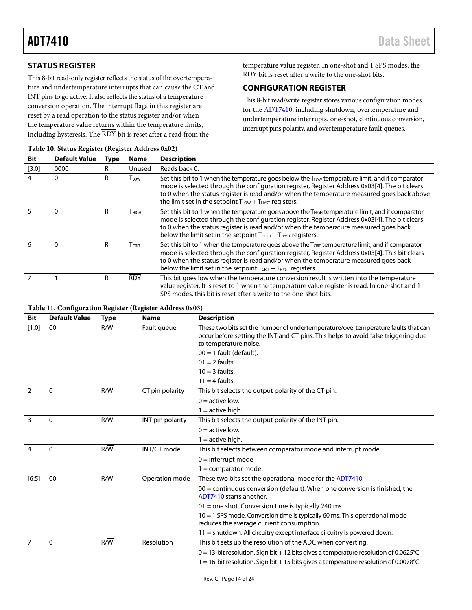### <span id="page-13-0"></span>**STATUS REGISTER**

This 8-bit read-only register reflects the status of the overtemperature and undertemperature interrupts that can cause the CT and INT pins to go active. It also reflects the status of a temperature conversion operation. The interrupt flags in this register are reset by a read operation to the status register and/or when the temperature value returns within the temperature limits, including hysteresis. The RDY bit is reset after a read from the

temperature value register. In one-shot and 1 SPS modes, the RDY bit is reset after a write to the one-shot bits.

### <span id="page-13-1"></span>**CONFIGURATION REGISTER**

This 8-bit read/write register stores various configuration modes for th[e ADT7410,](http://www.analog.com/ADT7410?doc=ADT7410.pdf) including shutdown, overtemperature and undertemperature interrupts, one-shot, continuous conversion, interrupt pins polarity, and overtemperature fault queues.

| <b>Bit</b>     | <b>Default Value</b> | <b>Type</b> | <b>Name</b>      | <b>Description</b>                                                                                                                                                                                                                                                                                                                                                            |
|----------------|----------------------|-------------|------------------|-------------------------------------------------------------------------------------------------------------------------------------------------------------------------------------------------------------------------------------------------------------------------------------------------------------------------------------------------------------------------------|
| $[3:0]$        | 0000                 | R           | Unused           | Reads back 0.                                                                                                                                                                                                                                                                                                                                                                 |
| $\overline{4}$ |                      | R           | T <sub>LOW</sub> | Set this bit to 1 when the temperature goes below the T <sub>LOW</sub> temperature limit, and if comparator<br>mode is selected through the configuration register, Register Address 0x03[4]. The bit clears<br>to 0 when the status register is read and/or when the temperature measured goes back above<br>the limit set in the setpoint $T_{LOW} + T_{H YST}$ registers.  |
|                | $\Omega$             | R           | $T_{\rm HIGH}$   | Set this bit to 1 when the temperature goes above the T <sub>HGH</sub> temperature limit, and if comparator<br>mode is selected through the configuration register, Register Address 0x03[4]. The bit clears<br>to 0 when the status register is read and/or when the temperature measured goes back<br>below the limit set in the setpoint THIGH - THYST registers.          |
| 6              | $\Omega$             | R           | $T_{CRIT}$       | Set this bit to 1 when the temperature goes above the T <sub>CRT</sub> temperature limit, and if comparator<br>mode is selected through the configuration register, Register Address 0x03[4]. This bit clears<br>to 0 when the status register is read and/or when the temperature measured goes back<br>below the limit set in the setpoint $T_{CRIT} - T_{HYST}$ registers. |
|                |                      | R           | <b>RDY</b>       | This bit goes low when the temperature conversion result is written into the temperature<br>value register. It is reset to 1 when the temperature value register is read. In one-shot and 1<br>SPS modes, this bit is reset after a write to the one-shot bits.                                                                                                               |

### **Table 10. Status Register (Register Address 0x02)**

### **Table 11. Configuration Register (Register Address 0x03)**

| <b>Bit</b>     | <b>Default Value</b> | <b>Type</b>      | <b>Name</b>      | <b>Description</b>                                                                                                                                                                               |
|----------------|----------------------|------------------|------------------|--------------------------------------------------------------------------------------------------------------------------------------------------------------------------------------------------|
| [1:0]          | $00\,$               | R/W              | Fault queue      | These two bits set the number of undertemperature/overtemperature faults that can<br>occur before setting the INT and CT pins. This helps to avoid false triggering due<br>to temperature noise. |
|                |                      |                  |                  | $00 = 1$ fault (default).                                                                                                                                                                        |
|                |                      |                  |                  | $01 = 2$ faults.                                                                                                                                                                                 |
|                |                      |                  |                  | $10 = 3$ faults.                                                                                                                                                                                 |
|                |                      |                  |                  | $11 = 4$ faults.                                                                                                                                                                                 |
| $\mathcal{P}$  | $\mathbf{0}$         | R/W              | CT pin polarity  | This bit selects the output polarity of the CT pin.                                                                                                                                              |
|                |                      |                  |                  | $0 =$ active low.                                                                                                                                                                                |
|                |                      |                  |                  | $1 =$ active high.                                                                                                                                                                               |
| 3              | 0                    | $R/\overline{W}$ | INT pin polarity | This bit selects the output polarity of the INT pin.                                                                                                                                             |
|                |                      |                  |                  | $0 =$ active low.                                                                                                                                                                                |
|                |                      |                  |                  | $1 =$ active high.                                                                                                                                                                               |
| 4              | $\mathbf{0}$         | R/W              | INT/CT mode      | This bit selects between comparator mode and interrupt mode.                                                                                                                                     |
|                |                      |                  |                  | $0 =$ interrupt mode                                                                                                                                                                             |
|                |                      |                  |                  | $1 =$ comparator mode                                                                                                                                                                            |
| $[6:5]$        | 00                   | $R/\overline{W}$ | Operation mode   | These two bits set the operational mode for the ADT7410.                                                                                                                                         |
|                |                      |                  |                  | $00 =$ continuous conversion (default). When one conversion is finished, the<br>ADT7410 starts another.                                                                                          |
|                |                      |                  |                  | $01$ = one shot. Conversion time is typically 240 ms.                                                                                                                                            |
|                |                      |                  |                  | $10 = 1$ SPS mode. Conversion time is typically 60 ms. This operational mode<br>reduces the average current consumption.                                                                         |
|                |                      |                  |                  | $11$ = shutdown. All circuitry except interface circuitry is powered down.                                                                                                                       |
| $\overline{7}$ | $\mathbf{0}$         | R/W              | Resolution       | This bit sets up the resolution of the ADC when converting.                                                                                                                                      |
|                |                      |                  |                  | $0 = 13$ -bit resolution. Sign bit + 12 bits gives a temperature resolution of 0.0625°C.                                                                                                         |
|                |                      |                  |                  | $1 = 16$ -bit resolution. Sign bit + 15 bits gives a temperature resolution of 0.0078°C.                                                                                                         |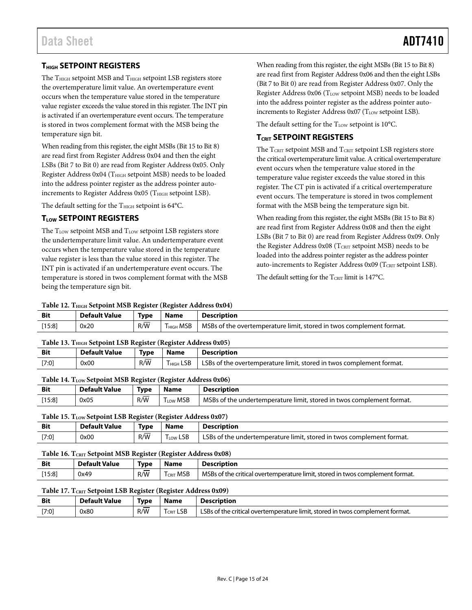### <span id="page-14-0"></span>**THIGH SETPOINT REGISTERS**

The  $T<sub>HIGH</sub>$  setpoint MSB and  $T<sub>HIGH</sub>$  setpoint LSB registers store the overtemperature limit value. An overtemperature event occurs when the temperature value stored in the temperature value register exceeds the value stored in this register. The INT pin is activated if an overtemperature event occurs. The temperature is stored in twos complement format with the MSB being the temperature sign bit.

When reading from this register, the eight MSBs (Bit 15 to Bit 8) are read first from Register Address 0x04 and then the eight LSBs (Bit 7 to Bit 0) are read from Register Address 0x05. Only Register Address 0x04 (T<sub>HIGH</sub> setpoint MSB) needs to be loaded into the address pointer register as the address pointer autoincrements to Register Address  $0x05$  (T<sub>HIGH</sub> setpoint LSB).

The default setting for the  $T<sub>HIGH</sub>$  setpoint is 64 $°C$ .

### <span id="page-14-1"></span>**TLOW SETPOINT REGISTERS**

The  $T_{LOW}$  setpoint MSB and  $T_{LOW}$  setpoint LSB registers store the undertemperature limit value. An undertemperature event occurs when the temperature value stored in the temperature value register is less than the value stored in this register. The INT pin is activated if an undertemperature event occurs. The temperature is stored in twos complement format with the MSB being the temperature sign bit.

When reading from this register, the eight MSBs (Bit 15 to Bit 8) are read first from Register Address 0x06 and then the eight LSBs (Bit 7 to Bit 0) are read from Register Address 0x07. Only the Register Address 0x06 (T<sub>LOW</sub> setpoint MSB) needs to be loaded into the address pointer register as the address pointer autoincrements to Register Address  $0x07$  (T<sub>LOW</sub> setpoint LSB).

The default setting for the  $T_{LOW}$  setpoint is 10°C.

### <span id="page-14-2"></span>**TCRIT SETPOINT REGISTERS**

The  $T_{\text{CRIT}}$  setpoint MSB and  $T_{\text{CRIT}}$  setpoint LSB registers store the critical overtemperature limit value. A critical overtemperature event occurs when the temperature value stored in the temperature value register exceeds the value stored in this register. The CT pin is activated if a critical overtemperature event occurs. The temperature is stored in twos complement format with the MSB being the temperature sign bit.

When reading from this register, the eight MSBs (Bit 15 to Bit 8) are read first from Register Address 0x08 and then the eight LSBs (Bit 7 to Bit 0) are read from Register Address 0x09. Only the Register Address 0x08 (TCRIT setpoint MSB) needs to be loaded into the address pointer register as the address pointer auto-increments to Register Address 0x09 ( $T_{CRIT}$  setpoint LSB).

The default setting for the  $T_{\text{CRIT}}$  limit is 147°C.

|  | Table 12. THIGH Setpoint MSB Register (Register Address 0x04) |
|--|---------------------------------------------------------------|
|--|---------------------------------------------------------------|

| Tuble 12. I film betpoint mob Register (Register Audress 0A0 1) |                      |      |                                  |                                                                      |  |
|-----------------------------------------------------------------|----------------------|------|----------------------------------|----------------------------------------------------------------------|--|
| Bit                                                             | <b>Default Value</b> | Type | <b>Name</b>                      | <b>Description</b>                                                   |  |
| [15:8]                                                          | 0x20                 | R/W  | $\mathsf{T}_{\mathsf{HIGH}}$ MSB | MSBs of the overtemperature limit, stored in twos complement format. |  |

### Table 13. T<sub>HIGH</sub> Setpoint LSB Register (Register Address 0x05)

| <b>Bit</b> | <b>Default Value</b> | <b>Type</b> | <b>Name</b>           | Description                                                          |
|------------|----------------------|-------------|-----------------------|----------------------------------------------------------------------|
| [7:0]      | 0x00                 | R/W         | T <sub>HIGH</sub> LSB | LSBs of the overtemperature limit, stored in twos complement format. |

### Table 14. T<sub>LOW</sub> Setpoint MSB Register (Register Address 0x06)

| <b>Bit</b> | <b>Default Value</b> | Type          | <b>Name</b>     | <b>Description</b>                                                    |
|------------|----------------------|---------------|-----------------|-----------------------------------------------------------------------|
| [15:8]     | 0x05                 | $\sim$<br>R/W | <b>Trow MSB</b> | MSBs of the undertemperature limit, stored in twos complement format. |

### Table 15. T<sub>LOW</sub> Setpoint LSB Register (Register Address 0x07)

| <b>Bit</b> | <b>Default Value</b> | <b>Type</b> | <b>Name</b>               | <b>Description</b>                                                    |
|------------|----------------------|-------------|---------------------------|-----------------------------------------------------------------------|
| [7:0]      | 0x00                 | R/W         | $\Gamma_{\text{LOW}}$ LSB | LSBs of the undertemperature limit, stored in twos complement format. |

### **Table 16. TCRIT Setpoint MSB Register (Register Address 0x08)**

| <b>Bit</b> | <b>Default Value</b> | Type                            | Name                     | <b>Description</b>                                                            |
|------------|----------------------|---------------------------------|--------------------------|-------------------------------------------------------------------------------|
| [15:8]     | 0x49                 | $\overline{\phantom{a}}$<br>R/W | <b>MSB</b><br><b>CRI</b> | MSBs of the critical overtemperature limit, stored in twos complement format. |

### Table 17. T<sub>CRIT</sub> Setpoint LSB Register (Register Address 0x09)

| <b>Bit</b> | <b>Default Value</b> | Tvpe                            | Name                      | Description                                                                     |
|------------|----------------------|---------------------------------|---------------------------|---------------------------------------------------------------------------------|
| [7:0]      | 0x80                 | $\overline{\phantom{a}}$<br>R/W | $\sim$ $\sim$<br>CRIT LSB | . LSBs of the critical overtemperature limit, stored in twos complement format. |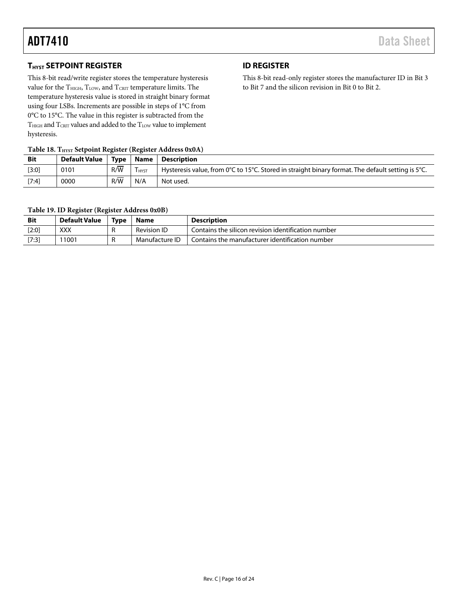### <span id="page-15-0"></span>**THYST SETPOINT REGISTER**

This 8-bit read/write register stores the temperature hysteresis value for the  $T<sub>HIGH</sub>, T<sub>LOW</sub>,$  and  $T<sub>CRIT</sub>$  temperature limits. The temperature hysteresis value is stored in straight binary format using four LSBs. Increments are possible in steps of 1°C from 0°C to 15°C. The value in this register is subtracted from the  $\rm T_{HIGH}$  and  $\rm T_{CRIT}$  values and added to the  $\rm T_{LOW}$  value to implement hysteresis.

### **Table 18. THYST Setpoint Register (Register Address 0x0A)**

| $\frac{1}{2}$ and $\frac{1}{2}$ and $\frac{1}{2}$ are $\frac{1}{2}$ and $\frac{1}{2}$ are $\frac{1}{2}$ and $\frac{1}{2}$ are $\frac{1}{2}$ and $\frac{1}{2}$ are $\frac{1}{2}$ |                 |          |             |                                                                                                   |
|---------------------------------------------------------------------------------------------------------------------------------------------------------------------------------|-----------------|----------|-------------|---------------------------------------------------------------------------------------------------|
| <b>Bit</b>                                                                                                                                                                      | Default Value 1 | Tvpe     | <b>Name</b> | Description                                                                                       |
| $[3:0]$                                                                                                                                                                         | 0101            | _<br>R/W | <b>HYST</b> | Hysteresis value, from 0°C to 15°C. Stored in straight binary format. The default setting is 5°C. |
| $[7:4]$                                                                                                                                                                         | 0000            | R/W      | N/A         | Not used.                                                                                         |

<span id="page-15-1"></span>**ID REGISTER**

This 8-bit read-only register stores the manufacturer ID in Bit 3

to Bit 7 and the silicon revision in Bit 0 to Bit 2.

**Table 19. ID Register (Register Address 0x0B)**

| <b>Bit</b> | <b>Default Value</b> | Type | Name               | <b>Description</b>                                  |
|------------|----------------------|------|--------------------|-----------------------------------------------------|
| [2:0]      | XXX                  | . .  | <b>Revision ID</b> | Contains the silicon revision identification number |
| [7:3]      | 1001                 |      | Manufacture ID     | Contains the manufacturer identification number     |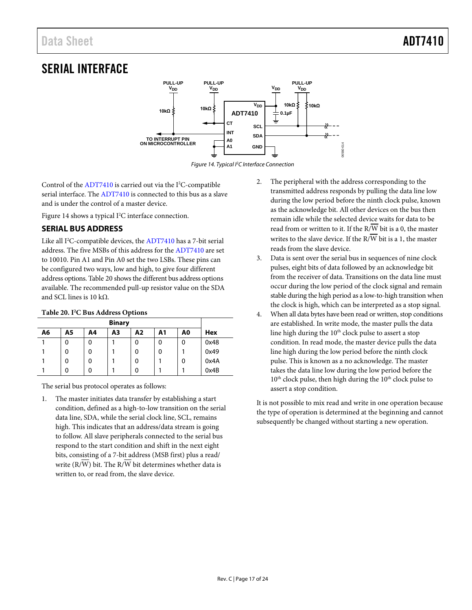# <span id="page-16-0"></span>SERIAL INTERFACE



*Figure 14. Typical I2C Interface Connection*

<span id="page-16-2"></span>Control of the  $ADT7410$  is carried out via the I<sup>2</sup>C-compatible serial interface. The [ADT7410](http://www.analog.com/ADT7410?doc=ADT7410.pdf) is connected to this bus as a slave and is under the control of a master device.

[Figure 14](#page-16-2) shows a typical I<sup>2</sup>C interface connection.

### <span id="page-16-1"></span>**SERIAL BUS ADDRESS**

Like all I<sup>2</sup>C-compatible devices, th[e ADT7410](http://www.analog.com/ADT7410?doc=ADT7410.pdf) has a 7-bit serial address. The five MSBs of this address for the [ADT7410](http://www.analog.com/ADT7410?doc=ADT7410.pdf) are set to 10010. Pin A1 and Pin A0 set the two LSBs. These pins can be configured two ways, low and high, to give four different address options[. Table 20](#page-16-3) shows the different bus address options available. The recommended pull-up resistor value on the SDA and SCL lines is 10 kΩ.

### <span id="page-16-3"></span>**Table 20. I2 C Bus Address Options**

| A6 | A5 | Α4 | A3 | Α2 | Α1 | A0 | Hex  |
|----|----|----|----|----|----|----|------|
|    | 0  | 0  |    | 0  | 0  | 0  | 0x48 |
|    | 0  | 0  |    | 0  | 0  |    | 0x49 |
|    | 0  | 0  |    | 0  |    | 0  | 0x4A |
|    | 0  | 0  |    | 0  |    |    | 0x4B |

The serial bus protocol operates as follows:

1. The master initiates data transfer by establishing a start condition, defined as a high-to-low transition on the serial data line, SDA, while the serial clock line, SCL, remains high. This indicates that an address/data stream is going to follow. All slave peripherals connected to the serial bus respond to the start condition and shift in the next eight bits, consisting of a 7-bit address (MSB first) plus a read/ write  $(R/\overline{W})$  bit. The  $R/\overline{W}$  bit determines whether data is written to, or read from, the slave device.

- 2. The peripheral with the address corresponding to the transmitted address responds by pulling the data line low during the low period before the ninth clock pulse, known as the acknowledge bit. All other devices on the bus then remain idle while the selected device waits for data to be read from or written to it. If the  $R/\overline{W}$  bit is a 0, the master writes to the slave device. If the  $R/\overline{W}$  bit is a 1, the master reads from the slave device.
- 3. Data is sent over the serial bus in sequences of nine clock pulses, eight bits of data followed by an acknowledge bit from the receiver of data. Transitions on the data line must occur during the low period of the clock signal and remain stable during the high period as a low-to-high transition when the clock is high, which can be interpreted as a stop signal.
- 4. When all data bytes have been read or written, stop conditions are established. In write mode, the master pulls the data line high during the  $10<sup>th</sup>$  clock pulse to assert a stop condition. In read mode, the master device pulls the data line high during the low period before the ninth clock pulse. This is known as a no acknowledge. The master takes the data line low during the low period before the  $10^{\rm th}$  clock pulse, then high during the  $10^{\rm th}$  clock pulse to assert a stop condition.

It is not possible to mix read and write in one operation because the type of operation is determined at the beginning and cannot subsequently be changed without starting a new operation.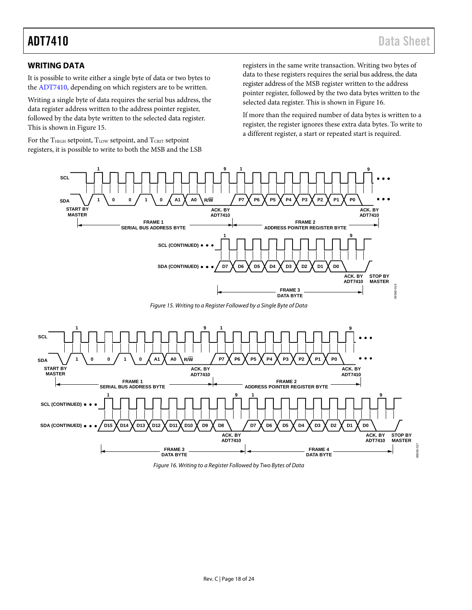### <span id="page-17-0"></span>**WRITING DATA**

It is possible to write either a single byte of data or two bytes to the [ADT7410,](http://www.analog.com/ADT7410?doc=ADT7410.pdf) depending on which registers are to be written.

Writing a single byte of data requires the serial bus address, the data register address written to the address pointer register, followed by the data byte written to the selected data register. This is shown i[n Figure 15.](#page-17-1) 

For the  $T<sub>HIGH</sub>$  setpoint,  $T<sub>LOW</sub>$  setpoint, and  $T<sub>CRT</sub>$  setpoint registers, it is possible to write to both the MSB and the LSB registers in the same write transaction. Writing two bytes of data to these registers requires the serial bus address, the data register address of the MSB register written to the address pointer register, followed by the two data bytes written to the selected data register. This is shown i[n Figure 16.](#page-17-2) 

If more than the required number of data bytes is written to a register, the register ignores these extra data bytes. To write to a different register, a start or repeated start is required.



*Figure 15. Writing to a Register Followed by a Single Byte of Data*

<span id="page-17-1"></span>

<span id="page-17-2"></span>*Figure 16. Writing to a Register Followed by Two Bytes of Data*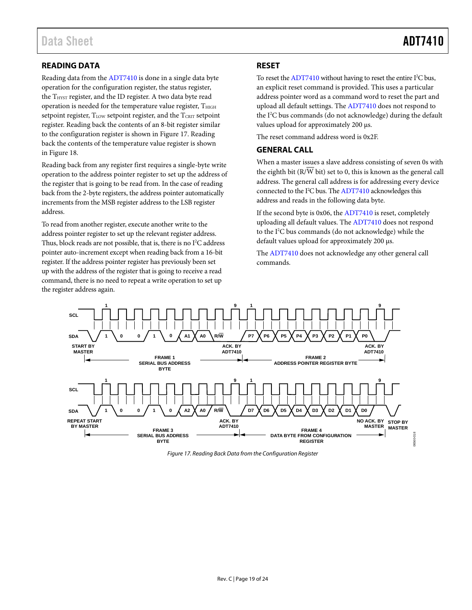### <span id="page-18-0"></span>**READING DATA**

Reading data from the [ADT7410](http://www.analog.com/ADT7410?doc=ADT7410.pdf) is done in a single data byte operation for the configuration register, the status register, the T<sub>HYST</sub> register, and the ID register. A two data byte read operation is needed for the temperature value register,  $T<sub>HIGH</sub>$ setpoint register, T<sub>LOW</sub> setpoint register, and the T<sub>CRIT</sub> setpoint register. Reading back the contents of an 8-bit register similar to the configuration register is shown i[n Figure 17.](#page-18-3) Reading back the contents of the temperature value register is shown in [Figure](#page-19-0) 18.

Reading back from any register first requires a single-byte write operation to the address pointer register to set up the address of the register that is going to be read from. In the case of reading back from the 2-byte registers, the address pointer automatically increments from the MSB register address to the LSB register address.

To read from another register, execute another write to the address pointer register to set up the relevant register address. Thus, block reads are not possible, that is, there is no  $I^2C$  address pointer auto-increment except when reading back from a 16-bit register. If the address pointer register has previously been set up with the address of the register that is going to receive a read command, there is no need to repeat a write operation to set up the register address again.

### <span id="page-18-1"></span>**RESET**

To reset the  $ADT7410$  without having to reset the entire  $I<sup>2</sup>C$  bus, an explicit reset command is provided. This uses a particular address pointer word as a command word to reset the part and upload all default settings. Th[e ADT7410](http://www.analog.com/ADT7410?doc=ADT7410.pdf) does not respond to the I<sup>2</sup>C bus commands (do not acknowledge) during the default values upload for approximately 200 µs.

The reset command address word is 0x2F.

### <span id="page-18-2"></span>**GENERAL CALL**

When a master issues a slave address consisting of seven 0s with the eighth bit (R/W bit) set to 0, this is known as the general call address. The general call address is for addressing every device connected to the I<sup>2</sup>C bus. Th[e ADT7410](http://www.analog.com/ADT7410?doc=ADT7410.pdf) acknowledges this address and reads in the following data byte.

If the second byte is 0x06, the [ADT7410](http://www.analog.com/ADT7410?doc=ADT7410.pdf) is reset, completely uploading all default values. The [ADT7410](http://www.analog.com/ADT7410?doc=ADT7410.pdf) does not respond to the I2 C bus commands (do not acknowledge) while the default values upload for approximately 200 µs.

The [ADT7410](http://www.analog.com/ADT7410?doc=ADT7410.pdf) does not acknowledge any other general call commands.



<span id="page-18-3"></span>*Figure 17. Reading Back Data from the Configuration Register*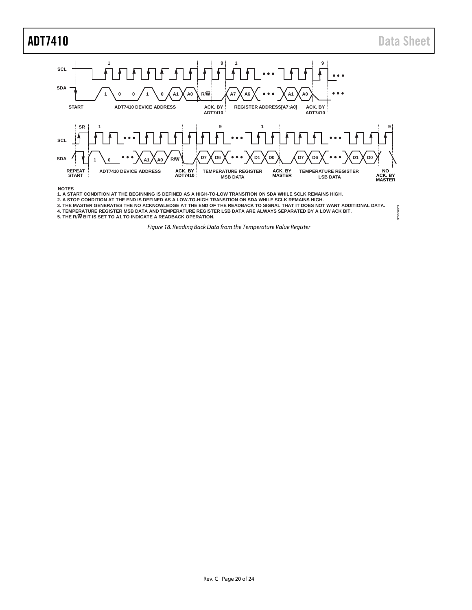06560-023

06560-023



<span id="page-19-0"></span>**4. TEMPERATURE REGISTER MSB DATA AND TEMPERATURE REGISTER LSB DATA ARE ALWAYS SEPARATED BY A LOW ACK BIT. 5. THE R/W BIT IS SET TO A1 TO INDICATE A READBACK OPERATION.**

*Figure 18. Reading Back Data from the Temperature Value Register*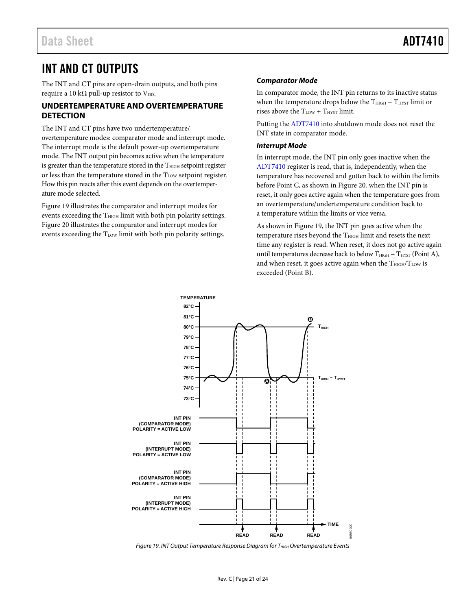# <span id="page-20-0"></span>INT AND CT OUTPUTS

The INT and CT pins are open-drain outputs, and both pins require a 10 k $\Omega$  pull-up resistor to V<sub>DD</sub>.

### <span id="page-20-1"></span>**UNDERTEMPERATURE AND OVERTEMPERATURE DETECTION**

The INT and CT pins have two undertemperature/ overtemperature modes: comparator mode and interrupt mode. The interrupt mode is the default power-up overtemperature mode. The INT output pin becomes active when the temperature is greater than the temperature stored in the  $T<sub>HIGH</sub>$  setpoint register or less than the temperature stored in the T<sub>LOW</sub> setpoint register. How this pin reacts after this event depends on the overtemperature mode selected.

[Figure 19](#page-20-2) illustrates the comparator and interrupt modes for events exceeding the  $T_{\text{HIGH}}$  limit with both pin polarity settings. [Figure 20](#page-21-0) illustrates the comparator and interrupt modes for events exceeding the  $T_{LOW}$  limit with both pin polarity settings.

### *Comparator Mode*

In comparator mode, the INT pin returns to its inactive status when the temperature drops below the  $T_{\text{HIGH}} - T_{\text{HYST}}$  limit or rises above the  $T_{LOW} + T_{HYST}$  limit.

Putting th[e ADT7410](http://www.analog.com/ADT7410?doc=ADT7410.pdf) into shutdown mode does not reset the INT state in comparator mode.

### *Interrupt Mode*

In interrupt mode, the INT pin only goes inactive when the [ADT7410](http://www.analog.com/adt7410?doc=adt7410.pdf) register is read, that is, independently, when the temperature has recovered and gotten back to within the limits before Point C, as shown in [Figure 20.](#page-21-0) when the INT pin is reset, it only goes active again when the temperature goes from an overtemperature/undertemperature condition back to a temperature within the limits or vice versa.

As shown in [Figure 19,](#page-20-2) the INT pin goes active when the temperature rises beyond the T<sub>HIGH</sub> limit and resets the next time any register is read. When reset, it does not go active again until temperatures decrease back to below  $T_{\text{HIGH}} - T_{\text{HYST}}$  (Point A), and when reset, it goes active again when the  $T<sub>HIGH</sub>/T<sub>LOW</sub>$  is exceeded (Point B).



<span id="page-20-2"></span>*Figure 19. INT Output Temperature Response Diagram for T<sub>HIGH</sub> Overtemperature Events*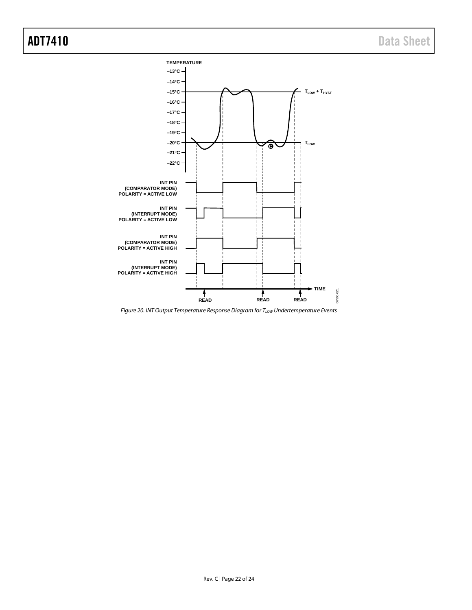

<span id="page-21-0"></span>*Figure 20. INT Output Temperature Response Diagram for TLOW Undertemperature Events*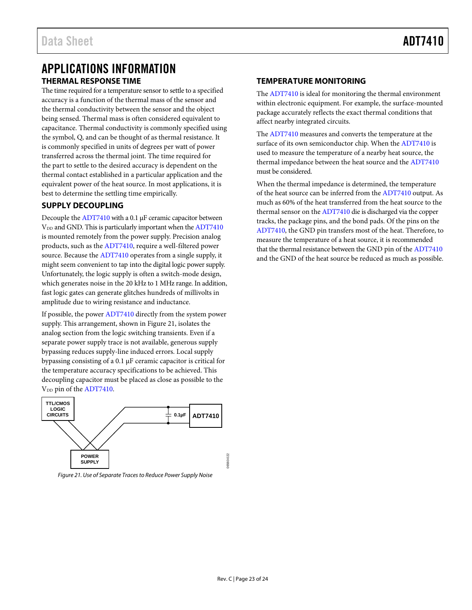## <span id="page-22-0"></span>APPLICATIONS INFORMATION **THERMAL RESPONSE TIME**

<span id="page-22-1"></span>The time required for a temperature sensor to settle to a specified accuracy is a function of the thermal mass of the sensor and the thermal conductivity between the sensor and the object being sensed. Thermal mass is often considered equivalent to capacitance. Thermal conductivity is commonly specified using the symbol, Q, and can be thought of as thermal resistance. It is commonly specified in units of degrees per watt of power transferred across the thermal joint. The time required for the part to settle to the desired accuracy is dependent on the thermal contact established in a particular application and the equivalent power of the heat source. In most applications, it is best to determine the settling time empirically.

### <span id="page-22-2"></span>**SUPPLY DECOUPLING**

Decouple the [ADT7410](http://www.analog.com/ADT7410?doc=ADT7410.pdf) with a 0.1 µF ceramic capacitor between V<sub>DD</sub> and GND. This is particularly important when the [ADT7410](http://www.analog.com/ADT7410?doc=ADT7410.pdf) is mounted remotely from the power supply. Precision analog products, such as th[e ADT7410,](http://www.analog.com/ADT7410?doc=ADT7410.pdf) require a well-filtered power source. Because the [ADT7410](http://www.analog.com/ADT7410?doc=ADT7410.pdf) operates from a single supply, it might seem convenient to tap into the digital logic power supply. Unfortunately, the logic supply is often a switch-mode design, which generates noise in the 20 kHz to 1 MHz range. In addition, fast logic gates can generate glitches hundreds of millivolts in amplitude due to wiring resistance and inductance.

If possible, the power [ADT7410](http://www.analog.com/ADT7410?doc=ADT7410.pdf) directly from the system power supply. This arrangement, shown i[n Figure 21,](#page-22-4) isolates the analog section from the logic switching transients. Even if a separate power supply trace is not available, generous supply bypassing reduces supply-line induced errors. Local supply bypassing consisting of a 0.1 µF ceramic capacitor is critical for the temperature accuracy specifications to be achieved. This decoupling capacitor must be placed as close as possible to the V<sub>DD</sub> pin of the [ADT7410.](http://www.analog.com/ADT7410?doc=ADT7410.pdf)



<span id="page-22-4"></span>*Figure 21. Use of Separate Traces to Reduce Power Supply Noise*

### <span id="page-22-3"></span>**TEMPERATURE MONITORING**

The [ADT7410](http://www.analog.com/ADT7410?doc=ADT7410.pdf) is ideal for monitoring the thermal environment within electronic equipment. For example, the surface-mounted package accurately reflects the exact thermal conditions that affect nearby integrated circuits.

The [ADT7410](http://www.analog.com/ADT7410?doc=ADT7410.pdf) measures and converts the temperature at the surface of its own semiconductor chip. When the [ADT7410](http://www.analog.com/ADT7410?doc=ADT7410.pdf) is used to measure the temperature of a nearby heat source, the thermal impedance between the heat source and th[e ADT7410](http://www.analog.com/ADT7410?doc=ADT7410.pdf) must be considered.

When the thermal impedance is determined, the temperature of the heat source can be inferred from th[e ADT7410](http://www.analog.com/ADT7410?doc=ADT7410.pdf) output. As much as 60% of the heat transferred from the heat source to the thermal sensor on the [ADT7410](http://www.analog.com/ADT7410?doc=ADT7410.pdf) die is discharged via the copper tracks, the package pins, and the bond pads. Of the pins on the [ADT7410,](http://www.analog.com/ADT7410?doc=ADT7410.pdf) the GND pin transfers most of the heat. Therefore, to measure the temperature of a heat source, it is recommended that the thermal resistance between the GND pin of th[e ADT7410](http://www.analog.com/ADT7410?doc=ADT7410.pdf) and the GND of the heat source be reduced as much as possible.